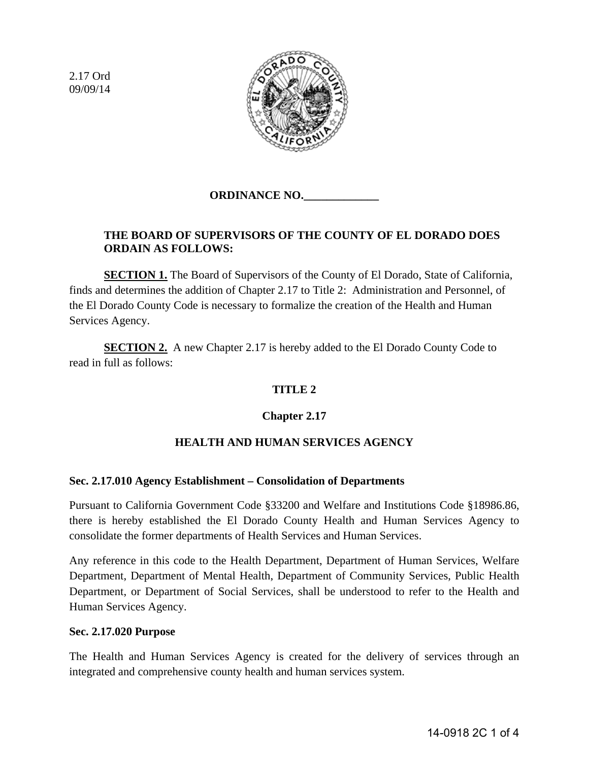2.17 Ord 09/09/14



# **ORDINANCE NO.\_\_\_\_\_\_\_\_\_\_\_\_\_**

# **THE BOARD OF SUPERVISORS OF THE COUNTY OF EL DORADO DOES ORDAIN AS FOLLOWS:**

**SECTION 1.** The Board of Supervisors of the County of El Dorado, State of California, finds and determines the addition of Chapter 2.17 to Title 2: Administration and Personnel, of the El Dorado County Code is necessary to formalize the creation of the Health and Human Services Agency.

**SECTION 2.** A new Chapter 2.17 is hereby added to the El Dorado County Code to read in full as follows:

# **TITLE 2**

# **Chapter 2.17**

# **HEALTH AND HUMAN SERVICES AGENCY**

#### **Sec. 2.17.010 Agency Establishment – Consolidation of Departments**

Pursuant to California Government Code §33200 and Welfare and Institutions Code §18986.86, there is hereby established the El Dorado County Health and Human Services Agency to consolidate the former departments of Health Services and Human Services.

Any reference in this code to the Health Department, Department of Human Services, Welfare Department, Department of Mental Health, Department of Community Services, Public Health Department, or Department of Social Services, shall be understood to refer to the Health and Human Services Agency.

#### **Sec. 2.17.020 Purpose**

The Health and Human Services Agency is created for the delivery of services through an integrated and comprehensive county health and human services system.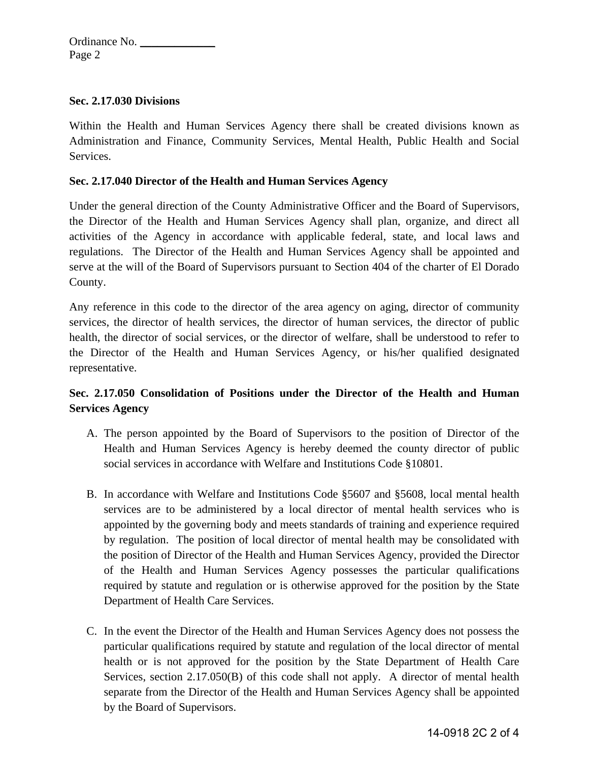### **Sec. 2.17.030 Divisions**

Within the Health and Human Services Agency there shall be created divisions known as Administration and Finance, Community Services, Mental Health, Public Health and Social Services.

### **Sec. 2.17.040 Director of the Health and Human Services Agency**

Under the general direction of the County Administrative Officer and the Board of Supervisors, the Director of the Health and Human Services Agency shall plan, organize, and direct all activities of the Agency in accordance with applicable federal, state, and local laws and regulations. The Director of the Health and Human Services Agency shall be appointed and serve at the will of the Board of Supervisors pursuant to Section 404 of the charter of El Dorado County.

Any reference in this code to the director of the area agency on aging, director of community services, the director of health services, the director of human services, the director of public health, the director of social services, or the director of welfare, shall be understood to refer to the Director of the Health and Human Services Agency, or his/her qualified designated representative.

# **Sec. 2.17.050 Consolidation of Positions under the Director of the Health and Human Services Agency**

- A. The person appointed by the Board of Supervisors to the position of Director of the Health and Human Services Agency is hereby deemed the county director of public social services in accordance with Welfare and Institutions Code §10801.
- B. In accordance with Welfare and Institutions Code §5607 and §5608, local mental health services are to be administered by a local director of mental health services who is appointed by the governing body and meets standards of training and experience required by regulation. The position of local director of mental health may be consolidated with the position of Director of the Health and Human Services Agency, provided the Director of the Health and Human Services Agency possesses the particular qualifications required by statute and regulation or is otherwise approved for the position by the State Department of Health Care Services.
- C. In the event the Director of the Health and Human Services Agency does not possess the particular qualifications required by statute and regulation of the local director of mental health or is not approved for the position by the State Department of Health Care Services, section 2.17.050(B) of this code shall not apply. A director of mental health separate from the Director of the Health and Human Services Agency shall be appointed by the Board of Supervisors.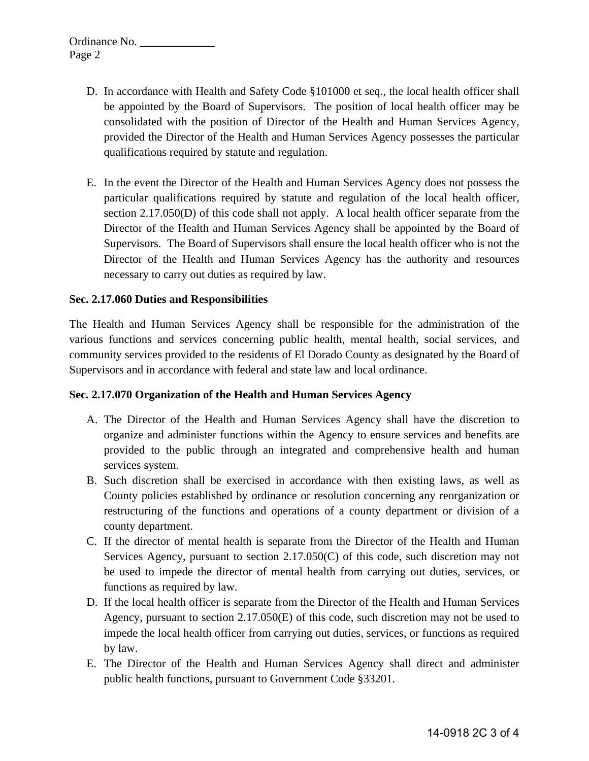- D. In accordance with Health and Safety Code §101000 et seq., the local health officer shall be appointed by the Board of Supervisors. The position of local health officer may be consolidated with the position of Director of the Health and Human Services Agency, provided the Director of the Health and Human Services Agency possesses the particular qualifications required by statute and regulation.
- E. In the event the Director of the Health and Human Services Agency does not possess the particular qualifications required by statute and regulation of the local health officer, section 2.17.050(D) of this code shall not apply. A local health officer separate from the Director of the Health and Human Services Agency shall be appointed by the Board of Supervisors. The Board of Supervisors shall ensure the local health officer who is not the Director of the Health and Human Services Agency has the authority and resources necessary to carry out duties as required by law.

### **Sec. 2.17.060 Duties and Responsibilities**

The Health and Human Services Agency shall be responsible for the administration of the various functions and services concerning public health, mental health, social services, and community services provided to the residents of El Dorado County as designated by the Board of Supervisors and in accordance with federal and state law and local ordinance.

#### **Sec. 2.17.070 Organization of the Health and Human Services Agency**

- A. The Director of the Health and Human Services Agency shall have the discretion to organize and administer functions within the Agency to ensure services and benefits are provided to the public through an integrated and comprehensive health and human services system.
- B. Such discretion shall be exercised in accordance with then existing laws, as well as County policies established by ordinance or resolution concerning any reorganization or restructuring of the functions and operations of a county department or division of a county department.
- C. If the director of mental health is separate from the Director of the Health and Human Services Agency, pursuant to section 2.17.050(C) of this code, such discretion may not be used to impede the director of mental health from carrying out duties, services, or functions as required by law.
- D. If the local health officer is separate from the Director of the Health and Human Services Agency, pursuant to section 2.17.050(E) of this code, such discretion may not be used to impede the local health officer from carrying out duties, services, or functions as required by law.
- E. The Director of the Health and Human Services Agency shall direct and administer public health functions, pursuant to Government Code §33201.